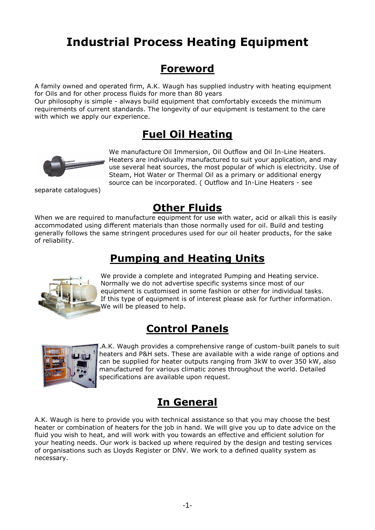# **Industrial Process Heating Equipment**

## **Foreword**

A family owned and operated firm, A.K. Waugh has supplied industry with heating equipment for Oils and for other process fluids for more than 80 years

Our philosophy is simple - always build equipment that comfortably exceeds the minimum requirements of current standards. The longevity of our equipment is testament to the care with which we apply our experience.

# **Fuel Oil Heating**



We manufacture Oil Immersion, Oil Outflow and Oil In-Line Heaters. Heaters are individually manufactured to suit your application, and may use several heat sources, the most popular of which is electricity. Use of Steam, Hot Water or Thermal Oil as a primary or additional energy source can be incorporated. ( Outflow and In-Line Heaters - see

separate catalogues)

# **Other Fluids**

When we are required to manufacture equipment for use with water, acid or alkali this is easily accommodated using different materials than those normally used for oil. Build and testing generally follows the same stringent procedures used for our oil heater products, for the sake of reliability.

# **Pumping and Heating Units**



We provide a complete and integrated Pumping and Heating service. Normally we do not advertise specific systems since most of our equipment is customised in some fashion or other for individual tasks. If this type of equipment is of interest please ask for further information. We will be pleased to help.

# **Control Panels**



.A.K. Waugh provides a comprehensive range of custom-built panels to suit heaters and P&H sets. These are available with a wide range of options and can be supplied for heater outputs ranging from 3kW to over 350 kW, also manufactured for various climatic zones throughout the world. Detailed specifications are available upon request.

# **In General**

A.K. Waugh is here to provide you with technical assistance so that you may choose the best heater or combination of heaters for the job in hand. We will give you up to date advice on the fluid you wish to heat, and will work with you towards an effective and efficient solution for your heating needs. Our work is backed up where required by the design and testing services of organisations such as Lloyds Register or DNV. We work to a defined quality system as necessary.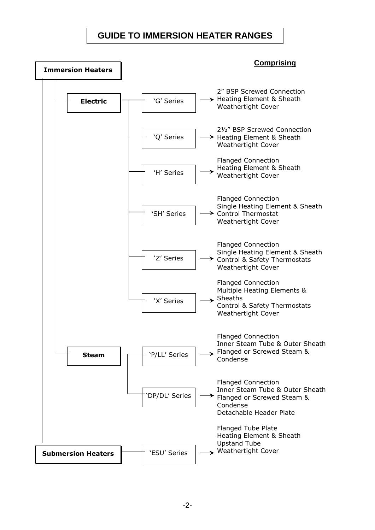### **GUIDE TO IMMERSION HEATER RANGES**

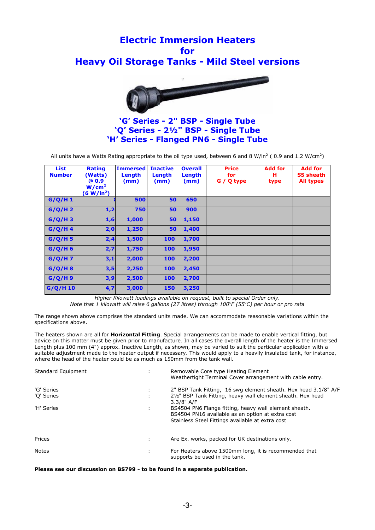## **Electric Immersion Heaters for Heavy Oil Storage Tanks - Mild Steel versions**



### **'G' Series - 2" BSP - Single Tube 'Q' Series - 2½" BSP - Single Tube 'H' Series - Flanged PN6 - Single Tube**

All units have a Watts Rating appropriate to the oil type used, between 6 and 8 W/in<sup>2</sup> (0.9 and 1.2 W/cm<sup>2</sup>)

| <b>List</b><br><b>Number</b> | <b>Rating</b><br>(Watts)<br>@0.9<br>W/cm <sup>2</sup><br>(6 W/in <sup>2</sup> ) | <b>Immersed</b><br>Length<br>(mm) | <b>Inactive</b><br>Length<br>(mm) | <b>Overall</b><br>Length<br>(mm) | <b>Price</b><br>for<br>G / Q type | <b>Add for</b><br>н<br>type | <b>Add for</b><br><b>SS sheath</b><br><b>All types</b> |
|------------------------------|---------------------------------------------------------------------------------|-----------------------------------|-----------------------------------|----------------------------------|-----------------------------------|-----------------------------|--------------------------------------------------------|
| G/Q/H1                       |                                                                                 | 500                               | 50                                | 650                              |                                   |                             |                                                        |
| $G/Q/H$ 2                    | 1,2                                                                             | 750                               | 50                                | 900                              |                                   |                             |                                                        |
| $G/Q/H$ 3                    | 1,6                                                                             | 1,000                             | 50                                | 1,150                            |                                   |                             |                                                        |
| G/Q/H4                       | 2,0                                                                             | 1,250                             | 50                                | 1,400                            |                                   |                             |                                                        |
| G/Q/H5                       | 2,4                                                                             | 1,500                             | 100                               | 1,700                            |                                   |                             |                                                        |
| G/Q/H6                       | 2,7                                                                             | 1,750                             | 100                               | 1,950                            |                                   |                             |                                                        |
| G/Q/H7                       | 3,1                                                                             | 2,000                             | 100                               | 2,200                            |                                   |                             |                                                        |
| G/Q/H8                       | 3,5                                                                             | 2,250                             | 100                               | 2,450                            |                                   |                             |                                                        |
| G/Q/H9                       | 3,9                                                                             | 2,500                             | 100                               | 2,700                            |                                   |                             |                                                        |
| $G/Q/H$ 10                   | 4,7                                                                             | 3,000                             | 150                               | 3,250                            |                                   |                             |                                                        |

*Higher Kilowatt loadings available on request, built to special Order only.* 

*Note that 1 kilowatt will raise 6 gallons (27 litres) through 100<sup>o</sup> F (55<sup>o</sup>C) per hour or pro rata*

The range shown above comprises the standard units made. We can accommodate reasonable variations within the specifications above.

The heaters shown are all for **Horizontal Fitting**. Special arrangements can be made to enable vertical fitting, but advice on this matter must be given prior to manufacture. In all cases the overall length of the heater is the Immersed Length plus 100 mm (4") approx. Inactive Length, as shown, may be varied to suit the particular application with a suitable adjustment made to the heater output if necessary. This would apply to a heavily insulated tank, for instance, where the head of the heater could be as much as 150mm from the tank wall.

| Standard Equipment       | ٠ | Removable Core type Heating Element<br>Weathertight Terminal Cover arrangement with cable entry.                                                              |
|--------------------------|---|---------------------------------------------------------------------------------------------------------------------------------------------------------------|
| 'G' Series<br>'O' Series | ÷ | 2" BSP Tank Fitting, 16 swg element sheath. Hex head 3.1/8" A/F<br>21/2" BSP Tank Fitting, heavy wall element sheath. Hex head<br>$3.3/8"$ A/F                |
| 'H' Series               | ÷ | BS4504 PN6 Flange fitting, heavy wall element sheath.<br>BS4504 PN16 available as an option at extra cost<br>Stainless Steel Fittings available at extra cost |
| Prices                   |   | Are Ex. works, packed for UK destinations only.                                                                                                               |
| Notes                    |   | For Heaters above 1500mm long, it is recommended that<br>supports be used in the tank.                                                                        |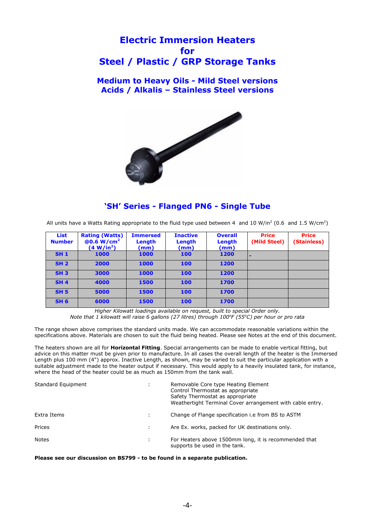### **Electric Immersion Heaters for Steel / Plastic / GRP Storage Tanks**

**Medium to Heavy Oils - Mild Steel versions Acids / Alkalis – Stainless Steel versions**



### **'SH' Series - Flanged PN6 - Single Tube**

All units have a Watts Rating appropriate to the fluid type used between 4 and 10 W/in<sup>2</sup> (0.6 and 1.5 W/cm<sup>2</sup>)

| <b>List</b><br><b>Number</b> | <b>Rating (Watts)</b><br>@0.6 W/cm <sup>2</sup><br>(4 W/in <sup>2</sup> ) | <b>Immersed</b><br>Length<br>(mm) | <b>Inactive</b><br>Length<br>(mm) | <b>Overall</b><br>Length<br>(mm) | <b>Price</b><br>(Mild Steel) | <b>Price</b><br>(Stainless) |
|------------------------------|---------------------------------------------------------------------------|-----------------------------------|-----------------------------------|----------------------------------|------------------------------|-----------------------------|
| <b>SH1</b>                   | 1000                                                                      | 1000                              | 100                               | 1200                             |                              |                             |
| SH <sub>2</sub>              | 2000                                                                      | 1000                              | 100                               | 1200                             |                              |                             |
| <b>SH3</b>                   | 3000                                                                      | 1000                              | 100                               | 1200                             |                              |                             |
| <b>SH4</b>                   | 4000                                                                      | 1500                              | 100                               | 1700                             |                              |                             |
| <b>SH 5</b>                  | 5000                                                                      | 1500                              | 100                               | 1700                             |                              |                             |
| <b>SH 6</b>                  | 6000                                                                      | 1500                              | 100                               | 1700                             |                              |                             |

*Higher Kilowatt loadings available on request, built to special Order only. Note that 1 kilowatt will raise 6 gallons (27 litres) through 100<sup>o</sup> F (55<sup>o</sup>C) per hour or pro rata*

The range shown above comprises the standard units made. We can accommodate reasonable variations within the specifications above. Materials are chosen to suit the fluid being heated. Please see Notes at the end of this document.

The heaters shown are all for **Horizontal Fitting**. Special arrangements can be made to enable vertical fitting, but advice on this matter must be given prior to manufacture. In all cases the overall length of the heater is the Immersed Length plus 100 mm (4") approx. Inactive Length, as shown, may be varied to suit the particular application with a suitable adjustment made to the heater output if necessary. This would apply to a heavily insulated tank, for instance, where the head of the heater could be as much as 150mm from the tank wall.

| Standard Equipment | ÷ | Removable Core type Heating Element<br>Control Thermostat as appropriate<br>Safety Thermostat as appropriate<br>Weathertight Terminal Cover arrangement with cable entry. |
|--------------------|---|---------------------------------------------------------------------------------------------------------------------------------------------------------------------------|
| Extra Items        |   | Change of Flange specification i.e from BS to ASTM                                                                                                                        |
| Prices             |   | Are Ex. works, packed for UK destinations only.                                                                                                                           |
| <b>Notes</b>       |   | For Heaters above 1500mm long, it is recommended that<br>supports be used in the tank.                                                                                    |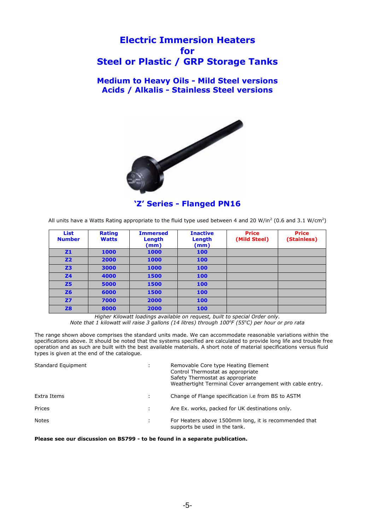### **Electric Immersion Heaters for Steel or Plastic / GRP Storage Tanks**

### **Medium to Heavy Oils - Mild Steel versions Acids / Alkalis - Stainless Steel versions**



### **'Z' Series - Flanged PN16**

All units have a Watts Rating appropriate to the fluid type used between 4 and 20 W/in<sup>2</sup> (0.6 and 3.1 W/cm<sup>2</sup>)

| <b>List</b><br><b>Number</b> | <b>Rating</b><br><b>Watts</b> | <b>Immersed</b><br>Length<br>(mm) | <b>Inactive</b><br>Length<br>(mm) | <b>Price</b><br>(Mild Steel) | <b>Price</b><br>(Stainless) |
|------------------------------|-------------------------------|-----------------------------------|-----------------------------------|------------------------------|-----------------------------|
| <b>Z1</b>                    | 1000                          | 1000                              | 100                               |                              |                             |
| <b>Z2</b>                    | 2000                          | 1000                              | 100                               |                              |                             |
| Z <sub>3</sub>               | 3000                          | 1000                              | 100                               |                              |                             |
| <b>Z4</b>                    | 4000                          | 1500                              | 100                               |                              |                             |
| <b>Z5</b>                    | 5000                          | 1500                              | 100                               |                              |                             |
| Z6                           | 6000                          | 1500                              | 100                               |                              |                             |
| <b>Z7</b>                    | 7000                          | 2000                              | 100                               |                              |                             |
| <b>Z8</b>                    | 8000                          | 2000                              | 100                               |                              |                             |

*Higher Kilowatt loadings available on request, built to special Order only. Note that 1 kilowatt will raise 3 gallons (14 litres) through 100<sup>o</sup> F (55<sup>o</sup>C) per hour or pro rata*

The range shown above comprises the standard units made. We can accommodate reasonable variations within the specifications above. It should be noted that the systems specified are calculated to provide long life and trouble free operation and as such are built with the best available materials. A short note of material specifications versus fluid types is given at the end of the catalogue.

| Standard Equipment | ÷ | Removable Core type Heating Element<br>Control Thermostat as appropriate<br>Safety Thermostat as appropriate<br>Weathertight Terminal Cover arrangement with cable entry. |
|--------------------|---|---------------------------------------------------------------------------------------------------------------------------------------------------------------------------|
| Extra Items        |   | Change of Flange specification i.e from BS to ASTM                                                                                                                        |
| Prices             |   | Are Ex. works, packed for UK destinations only.                                                                                                                           |
| Notes              |   | For Heaters above 1500mm long, it is recommended that<br>supports be used in the tank.                                                                                    |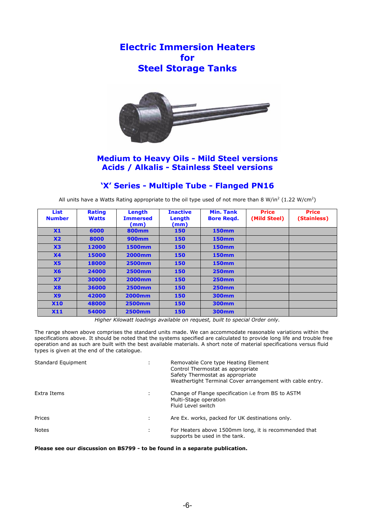**Electric Immersion Heaters for Steel Storage Tanks**



### **Medium to Heavy Oils - Mild Steel versions Acids / Alkalis - Stainless Steel versions**

### **'X' Series - Multiple Tube - Flanged PN16**

All units have a Watts Rating appropriate to the oil type used of not more than 8 W/in<sup>2</sup> (1.22 W/cm<sup>2</sup>)

| <b>List</b><br><b>Number</b> | <b>Rating</b><br><b>Watts</b> | Length<br><b>Immersed</b><br>(mm) | <b>Inactive</b><br>Length<br>(mm) | <b>Min. Tank</b><br><b>Bore Regd.</b> | <b>Price</b><br>(Mild Steel) | <b>Price</b><br>(Stainless) |
|------------------------------|-------------------------------|-----------------------------------|-----------------------------------|---------------------------------------|------------------------------|-----------------------------|
| X1                           | 6000                          | <b>800mm</b>                      | 150                               | <b>150mm</b>                          |                              |                             |
| X <sub>2</sub>               | 8000                          | 900mm                             | 150                               | <b>150mm</b>                          |                              |                             |
| X3                           | 12000                         | 1500mm                            | 150                               | <b>150mm</b>                          |                              |                             |
| X <sub>4</sub>               | 15000                         | 2000mm                            | 150                               | <b>150mm</b>                          |                              |                             |
| X <sub>5</sub>               | 18000                         | 2500mm                            | 150                               | <b>150mm</b>                          |                              |                             |
| <b>X6</b>                    | 24000                         | <b>2500mm</b>                     | 150                               | <b>250mm</b>                          |                              |                             |
| X7                           | 30000                         | 2000mm                            | 150                               | <b>250mm</b>                          |                              |                             |
| X8                           | 36000                         | 2500mm                            | 150                               | <b>250mm</b>                          |                              |                             |
| X9                           | 42000                         | <b>2000mm</b>                     | 150                               | 300mm                                 |                              |                             |
| <b>X10</b>                   | 48000                         | <b>2500mm</b>                     | 150                               | 300mm                                 |                              |                             |
| X11                          | 54000                         | 2500mm                            | 150                               | 300mm                                 |                              |                             |

*Higher Kilowatt loadings available on request, built to special Order only.* 

The range shown above comprises the standard units made. We can accommodate reasonable variations within the specifications above. It should be noted that the systems specified are calculated to provide long life and trouble free operation and as such are built with the best available materials. A short note of material specifications versus fluid types is given at the end of the catalogue.

| Standard Equipment | ÷ | Removable Core type Heating Element<br>Control Thermostat as appropriate<br>Safety Thermostat as appropriate<br>Weathertight Terminal Cover arrangement with cable entry. |
|--------------------|---|---------------------------------------------------------------------------------------------------------------------------------------------------------------------------|
| Extra Items        | ÷ | Change of Flange specification i.e from BS to ASTM<br>Multi-Stage operation<br>Fluid Level switch                                                                         |
| Prices             |   | Are Ex. works, packed for UK destinations only.                                                                                                                           |
| <b>Notes</b>       |   | For Heaters above 1500mm long, it is recommended that<br>supports be used in the tank.                                                                                    |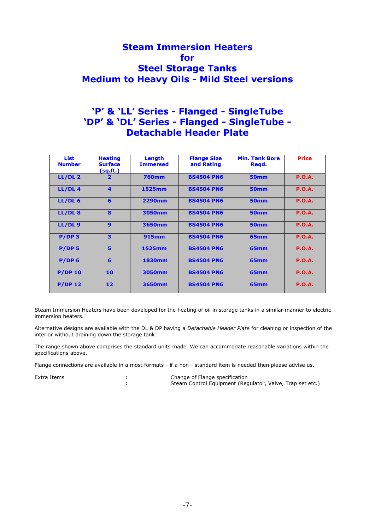### **Steam Immersion Heaters for Steel Storage Tanks Medium to Heavy Oils - Mild Steel versions**

### **'P' & 'LL' Series - Flanged - SingleTube 'DP' & 'DL' Series - Flanged - SingleTube - Detachable Header Plate**

| <b>List</b><br><b>Number</b> | <b>Heating</b><br><b>Surface</b><br>(sq.fr.) | Length<br><b>Immersed</b> | <b>Flange Size</b><br>and Rating | <b>Min. Tank Bore</b><br>Regd. | <b>Price</b>  |
|------------------------------|----------------------------------------------|---------------------------|----------------------------------|--------------------------------|---------------|
| LL/DL <sub>2</sub>           | $\overline{\mathbf{2}}$                      | <b>760mm</b>              | <b>BS4504 PN6</b>                | <b>50mm</b>                    | P.O.A.        |
| LL/DL <sub>4</sub>           | 4                                            | 1525mm                    | <b>BS4504 PN6</b>                | <b>50mm</b>                    | <b>P.O.A.</b> |
| LL/DL <sub>6</sub>           | 6                                            | <b>2290mm</b>             | <b>BS4504 PN6</b>                | <b>50mm</b>                    | P.O.A.        |
| LL/DL8                       | 8                                            | 3050mm                    | <b>BS4504 PN6</b>                | <b>50mm</b>                    | P.O.A.        |
| LL/DL9                       | $\mathbf{9}$                                 | 3650mm                    | <b>BS4504 PN6</b>                | <b>50mm</b>                    | P.O.A.        |
| $P/DP$ 3                     | 3                                            | <b>915mm</b>              | <b>BS4504 PN6</b>                | 65 <sub>mm</sub>               | P.O.A.        |
| P/DP <sub>5</sub>            | 5                                            | 1525mm                    | <b>BS4504 PN6</b>                | 65 <sub>mm</sub>               | <b>P.O.A.</b> |
| $P/DP$ 6                     | 6                                            | 1830mm                    | <b>BS4504 PN6</b>                | 65mm                           | P.O.A.        |
| <b>P/DP 10</b>               | 10                                           | 3050mm                    | <b>BS4504 PN6</b>                | 65mm                           | P.O.A.        |
| $P/DP$ 12                    | 12                                           | 3650mm                    | <b>BS4504 PN6</b>                | 65mm                           | <b>P.O.A.</b> |

Steam Immersion Heaters have been developed for the heating of oil in storage tanks in a similar manner to electric immersion heaters.

Alternative designs are available with the DL & DP having a *Detachable Header Plate* for cleaning or inspection of the interior without draining down the storage tank.

The range shown above comprises the standard units made. We can accommodate reasonable variations within the specifications above.

Flange connections are available in a most formats - if a non - standard item is needed then please advise us.

Extra Items : Change of Flange specification<br>
Steam Control Equipment (Rec Steam Control Equipment (Regulator, Valve, Trap set etc.)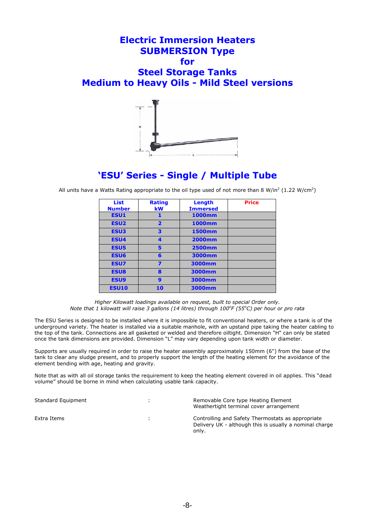### **Electric Immersion Heaters SUBMERSION Type for Steel Storage Tanks Medium to Heavy Oils - Mild Steel versions**



### **'ESU' Series - Single / Multiple Tube**

All units have a Watts Rating appropriate to the oil type used of not more than 8 W/in<sup>2</sup> (1.22 W/cm<sup>2</sup>)

| <b>List</b><br><b>Number</b> | <b>Rating</b><br><b>kW</b> | Lenath<br><b>Immersed</b> | <b>Price</b> |
|------------------------------|----------------------------|---------------------------|--------------|
| <b>ESU1</b>                  | 1                          | 1000mm                    |              |
| <b>ESU2</b>                  | $\overline{\mathbf{2}}$    | 1000mm                    |              |
| <b>ESU3</b>                  | 3                          | 1500mm                    |              |
| <b>ESU4</b>                  | 4                          | 2000mm                    |              |
| <b>ESU5</b>                  | 5                          | 2500mm                    |              |
| <b>ESU6</b>                  | 6                          | 3000mm                    |              |
| <b>ESU7</b>                  | 7                          | 3000mm                    |              |
| <b>ESU8</b>                  | 8                          | 3000mm                    |              |
| <b>ESU9</b>                  | 9                          | 3000mm                    |              |
| <b>ESU10</b>                 | 10                         | 3000mm                    |              |
|                              |                            |                           |              |

*Higher Kilowatt loadings available on request, built to special Order only. Note that 1 kilowatt will raise 3 gallons (14 litres) through 100<sup>o</sup> F (55<sup>o</sup>C) per hour or pro rata*

The ESU Series is designed to be installed where it is impossible to fit conventional heaters, or where a tank is of the underground variety. The heater is installed via a suitable manhole, with an upstand pipe taking the heater cabling to the top of the tank. Connections are all gasketed or welded and therefore oiltight. Dimension "H" can only be stated once the tank dimensions are provided. Dimension "L" may vary depending upon tank width or diameter.

Supports are usually required in order to raise the heater assembly approximately 150mm (6") from the base of the tank to clear any sludge present, and to properly support the length of the heating element for the avoidance of the element bending with age, heating and gravity.

Note that as with all oil storage tanks the requirement to keep the heating element covered in oil applies. This "dead volume" should be borne in mind when calculating usable tank capacity.

| Standard Equipment |   | Removable Core type Heating Element<br>Weathertight terminal cover arrangement                                        |
|--------------------|---|-----------------------------------------------------------------------------------------------------------------------|
| Extra Items        | ÷ | Controlling and Safety Thermostats as appropriate<br>Delivery UK - although this is usually a nominal charge<br>only. |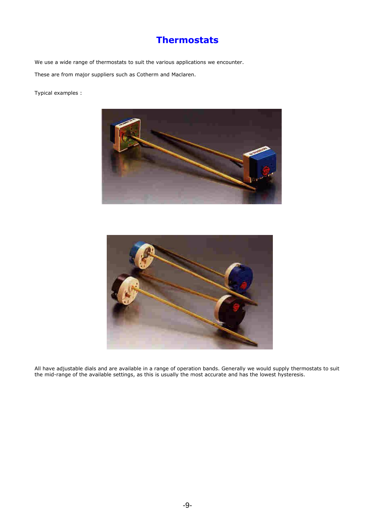## **Thermostats**

We use a wide range of thermostats to suit the various applications we encounter. These are from major suppliers such as Cotherm and Maclaren.

Typical examples :





All have adjustable dials and are available in a range of operation bands. Generally we would supply thermostats to suit the mid-range of the available settings, as this is usually the most accurate and has the lowest hysteresis.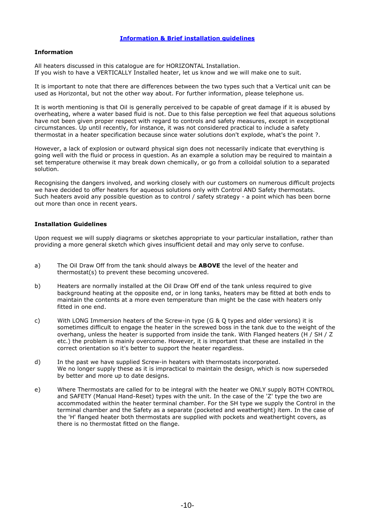### **Information**

All heaters discussed in this catalogue are for HORIZONTAL Installation. If you wish to have a VERTICALLY Installed heater, let us know and we will make one to suit.

It is important to note that there are differences between the two types such that a Vertical unit can be used as Horizontal, but not the other way about. For further information, please telephone us.

It is worth mentioning is that Oil is generally perceived to be capable of great damage if it is abused by overheating, where a water based fluid is not. Due to this false perception we feel that aqueous solutions have not been given proper respect with regard to controls and safety measures, except in exceptional circumstances. Up until recently, for instance, it was not considered practical to include a safety thermostat in a heater specification because since water solutions don't explode, what's the point ?.

However, a lack of explosion or outward physical sign does not necessarily indicate that everything is going well with the fluid or process in question. As an example a solution may be required to maintain a set temperature otherwise it may break down chemically, or go from a colloidal solution to a separated solution.

Recognising the dangers involved, and working closely with our customers on numerous difficult projects we have decided to offer heaters for aqueous solutions only with Control AND Safety thermostats. Such heaters avoid any possible question as to control / safety strategy - a point which has been borne out more than once in recent years.

### **Installation Guidelines**

Upon request we will supply diagrams or sketches appropriate to your particular installation, rather than providing a more general sketch which gives insufficient detail and may only serve to confuse.

- a) The Oil Draw Off from the tank should always be **ABOVE** the level of the heater and thermostat(s) to prevent these becoming uncovered.
- b) Heaters are normally installed at the Oil Draw Off end of the tank unless required to give background heating at the opposite end, or in long tanks, heaters may be fitted at both ends to maintain the contents at a more even temperature than might be the case with heaters only fitted in one end.
- c) With LONG Immersion heaters of the Screw-in type (G & Q types and older versions) it is sometimes difficult to engage the heater in the screwed boss in the tank due to the weight of the overhang, unless the heater is supported from inside the tank. With Flanged heaters (H / SH / Z etc.) the problem is mainly overcome. However, it is important that these are installed in the correct orientation so it's better to support the heater regardless.
- d) In the past we have supplied Screw-in heaters with thermostats incorporated. We no longer supply these as it is impractical to maintain the design, which is now superseded by better and more up to date designs.
- e) Where Thermostats are called for to be integral with the heater we ONLY supply BOTH CONTROL and SAFETY (Manual Hand-Reset) types with the unit. In the case of the 'Z' type the two are accommodated within the heater terminal chamber. For the SH type we supply the Control in the terminal chamber and the Safety as a separate (pocketed and weathertight) item. In the case of the 'H' flanged heater both thermostats are supplied with pockets and weathertight covers, as there is no thermostat fitted on the flange.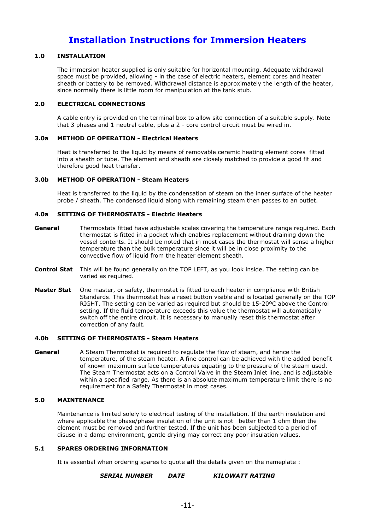### **Installation Instructions for Immersion Heaters**

### **1.0 INSTALLATION**

The immersion heater supplied is only suitable for horizontal mounting. Adequate withdrawal space must be provided, allowing - in the case of electric heaters, element cores and heater sheath or battery to be removed. Withdrawal distance is approximately the length of the heater, since normally there is little room for manipulation at the tank stub.

### **2.0 ELECTRICAL CONNECTIONS**

A cable entry is provided on the terminal box to allow site connection of a suitable supply. Note that 3 phases and 1 neutral cable, plus a 2 - core control circuit must be wired in.

### **3.0a METHOD OF OPERATION - Electrical Heaters**

Heat is transferred to the liquid by means of removable ceramic heating element cores fitted into a sheath or tube. The element and sheath are closely matched to provide a good fit and therefore good heat transfer.

### **3.0b METHOD OF OPERATION - Steam Heaters**

Heat is transferred to the liquid by the condensation of steam on the inner surface of the heater probe / sheath. The condensed liquid along with remaining steam then passes to an outlet.

### **4.0a SETTING OF THERMOSTATS - Electric Heaters**

- **General** Thermostats fitted have adjustable scales covering the temperature range required. Each thermostat is fitted in a pocket which enables replacement without draining down the vessel contents. It should be noted that in most cases the thermostat will sense a higher temperature than the bulk temperature since it will be in close proximity to the convective flow of liquid from the heater element sheath.
- **Control Stat** This will be found generally on the TOP LEFT, as you look inside. The setting can be varied as required.
- **Master Stat** One master, or safety, thermostat is fitted to each heater in compliance with British Standards. This thermostat has a reset button visible and is located generally on the TOP RIGHT. The setting can be varied as required but should be 15-20ºC above the Control setting. If the fluid temperature exceeds this value the thermostat will automatically switch off the entire circuit. It is necessary to manually reset this thermostat after correction of any fault.

### **4.0b SETTING OF THERMOSTATS - Steam Heaters**

**General** A Steam Thermostat is required to regulate the flow of steam, and hence the temperature, of the steam heater. A fine control can be achieved with the added benefit of known maximum surface temperatures equating to the pressure of the steam used. The Steam Thermostat acts on a Control Valve in the Steam Inlet line, and is adjustable within a specified range. As there is an absolute maximum temperature limit there is no requirement for a Safety Thermostat in most cases.

### **5.0 MAINTENANCE**

Maintenance is limited solely to electrical testing of the installation. If the earth insulation and where applicable the phase/phase insulation of the unit is not better than 1 ohm then the element must be removed and further tested. If the unit has been subjected to a period of disuse in a damp environment, gentle drying may correct any poor insulation values.

### **5.1 SPARES ORDERING INFORMATION**

It is essential when ordering spares to quote **all** the details given on the nameplate :

### *SERIAL NUMBER DATE KILOWATT RATING*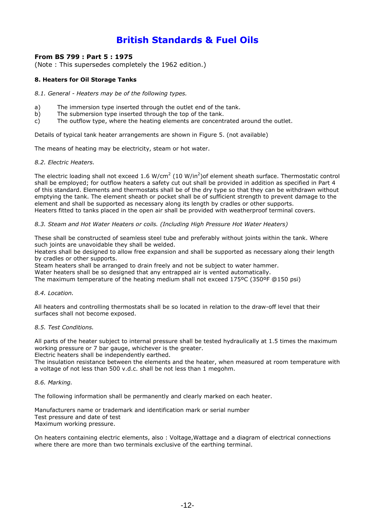### **From BS 799 : Part 5 : 1975**

(Note : This supersedes completely the 1962 edition.)

### **8. Heaters for Oil Storage Tanks**

#### *8.1. General - Heaters may be of the following types.*

- a) The immersion type inserted through the outlet end of the tank.
- b) The submersion type inserted through the top of the tank.
- c) The outflow type, where the heating elements are concentrated around the outlet.

Details of typical tank heater arrangements are shown in Figure 5. (not available)

The means of heating may be electricity, steam or hot water.

#### *8.2. Electric Heaters.*

The electric loading shall not exceed 1.6 W/cm<sup>2</sup> (10 W/in<sup>2</sup>)of element sheath surface. Thermostatic control shall be employed; for outflow heaters a safety cut out shall be provided in addition as specified in Part 4 of this standard. Elements and thermostats shall be of the dry type so that they can be withdrawn without emptying the tank. The element sheath or pocket shall be of sufficient strength to prevent damage to the element and shall be supported as necessary along its length by cradles or other supports. Heaters fitted to tanks placed in the open air shall be provided with weatherproof terminal covers.

### *8.3. Steam and Hot Water Heaters or coils. (Including High Pressure Hot Water Heaters)*

These shall be constructed of seamless steel tube and preferably without joints within the tank. Where such joints are unavoidable they shall be welded.

Heaters shall be designed to allow free expansion and shall be supported as necessary along their length by cradles or other supports.

Steam heaters shall be arranged to drain freely and not be subject to water hammer.

Water heaters shall be so designed that any entrapped air is vented automatically.

The maximum temperature of the heating medium shall not exceed 175ºC (350ºF @150 psi)

#### *8.4. Location.*

All heaters and controlling thermostats shall be so located in relation to the draw-off level that their surfaces shall not become exposed.

### *8.5. Test Conditions.*

All parts of the heater subject to internal pressure shall be tested hydraulically at 1.5 times the maximum working pressure or 7 bar gauge, whichever is the greater.

Electric heaters shall be independently earthed.

The insulation resistance between the elements and the heater, when measured at room temperature with a voltage of not less than 500 v.d.c. shall be not less than 1 megohm.

#### *8.6. Marking.*

The following information shall be permanently and clearly marked on each heater.

Manufacturers name or trademark and identification mark or serial number Test pressure and date of test Maximum working pressure.

On heaters containing electric elements, also : Voltage,Wattage and a diagram of electrical connections where there are more than two terminals exclusive of the earthing terminal.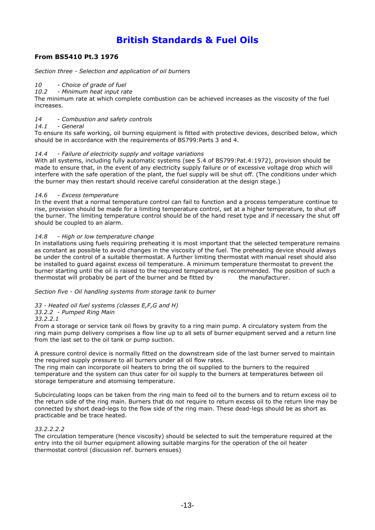### **From BS5410 Pt.3 1976**

*Section three - Selection and application of oil burners*

### *10 - Choice of grade of fuel*

*10.2 - Minimum heat input rate*

The minimum rate at which complete combustion can be achieved increases as the viscosity of the fuel increases.

### *14 - Combustion and safety controls*

### *14.1 - General*

To ensure its safe working, oil burning equipment is fitted with protective devices, described below, which should be in accordance with the requirements of BS799:Parts 3 and 4.

### *14.4 - Failure of electricity supply and voltage variations*

With all systems, including fully automatic systems (see 5.4 of BS799:Pat.4:1972), provision should be made to ensure that, in the event of any electricity supply failure or of excessive voltage drop which will interfere with the safe operation of the plant, the fuel supply will be shut off. (The conditions under which the burner may then restart should receive careful consideration at the design stage.)

### *14.6 - Excess temperature*

In the event that a normal temperature control can fail to function and a process temperature continue to rise, provision should be made for a limiting temperature control, set at a higher temperature, to shut off the burner. The limiting temperature control should be of the hand reset type and if necessary the shut off should be coupled to an alarm.

### *14.8 - High or low temperature change*

In installations using fuels requiring preheating it is most important that the selected temperature remains as constant as possible to avoid changes in the viscosity of the fuel. The preheating device should always be under the control of a suitable thermostat. A further limiting thermostat with manual reset should also be installed to guard against excess oil temperature. A minimum temperature thermostat to prevent the burner starting until the oil is raised to the required temperature is recommended. The position of such a thermostat will probably be part of the burner and be fitted by the manufacturer.

*Section five - Oil handling systems from storage tank to burner*

### *33 - Heated oil fuel systems (classes E,F,G and H)*

### *33.2.2 - Pumped Ring Main*

*33.2.2.1* 

From a storage or service tank oil flows by gravity to a ring main pump. A circulatory system from the ring main pump delivery comprises a flow line up to all sets of burner equipment served and a return line from the last set to the oil tank or pump suction.

A pressure control device is normally fitted on the downstream side of the last burner served to maintain the required supply pressure to all burners under all oil flow rates.

The ring main can incorporate oil heaters to bring the oil supplied to the burners to the required temperature and the system can thus cater for oil supply to the burners at temperatures between oil storage temperature and atomising temperature.

Subcirculating loops can be taken from the ring main to feed oil to the burners and to return excess oil to the return side of the ring main. Burners that do not require to return excess oil to the return line may be connected by short dead-legs to the flow side of the ring main. These dead-legs should be as short as practicable and be trace heated.

### *33.2.2.2.2*

The circulation temperature (hence viscosity) should be selected to suit the temperature required at the entry into the oil burner equipment allowing suitable margins for the operation of the oil heater thermostat control (discussion ref. burners ensues)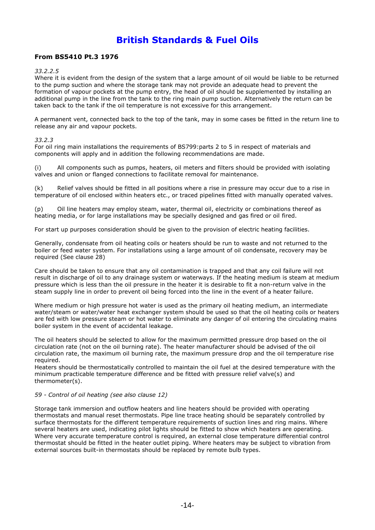### **From BS5410 Pt.3 1976**

### *33.2.2.5*

Where it is evident from the design of the system that a large amount of oil would be liable to be returned to the pump suction and where the storage tank may not provide an adequate head to prevent the formation of vapour pockets at the pump entry, the head of oil should be supplemented by installing an additional pump in the line from the tank to the ring main pump suction. Alternatively the return can be taken back to the tank if the oil temperature is not excessive for this arrangement.

A permanent vent, connected back to the top of the tank, may in some cases be fitted in the return line to release any air and vapour pockets.

### *33.2.3*

For oil ring main installations the requirements of BS799:parts 2 to 5 in respect of materials and components will apply and in addition the following recommendations are made.

(i) All components such as pumps, heaters, oil meters and filters should be provided with isolating valves and union or flanged connections to facilitate removal for maintenance.

(k) Relief valves should be fitted in all positions where a rise in pressure may occur due to a rise in temperature of oil enclosed within heaters etc., or traced pipelines fitted with manually operated valves.

(p) Oil line heaters may employ steam, water, thermal oil, electricity or combinations thereof as heating media, or for large installations may be specially designed and gas fired or oil fired.

For start up purposes consideration should be given to the provision of electric heating facilities.

Generally, condensate from oil heating coils or heaters should be run to waste and not returned to the boiler or feed water system. For installations using a large amount of oil condensate, recovery may be required (See clause 28)

Care should be taken to ensure that any oil contamination is trapped and that any coil failure will not result in discharge of oil to any drainage system or waterways. If the heating medium is steam at medium pressure which is less than the oil pressure in the heater it is desirable to fit a non-return valve in the steam supply line in order to prevent oil being forced into the line in the event of a heater failure.

Where medium or high pressure hot water is used as the primary oil heating medium, an intermediate water/steam or water/water heat exchanger system should be used so that the oil heating coils or heaters are fed with low pressure steam or hot water to eliminate any danger of oil entering the circulating mains boiler system in the event of accidental leakage.

The oil heaters should be selected to allow for the maximum permitted pressure drop based on the oil circulation rate (not on the oil burning rate). The heater manufacturer should be advised of the oil circulation rate, the maximum oil burning rate, the maximum pressure drop and the oil temperature rise required.

Heaters should be thermostatically controlled to maintain the oil fuel at the desired temperature with the minimum practicable temperature difference and be fitted with pressure relief valve(s) and thermometer(s).

### *59 - Control of oil heating (see also clause 12)*

Storage tank immersion and outflow heaters and line heaters should be provided with operating thermostats and manual reset thermostats. Pipe line trace heating should be separately controlled by surface thermostats for the different temperature requirements of suction lines and ring mains. Where several heaters are used, indicating pilot lights should be fitted to show which heaters are operating. Where very accurate temperature control is required, an external close temperature differential control thermostat should be fitted in the heater outlet piping. Where heaters may be subject to vibration from external sources built-in thermostats should be replaced by remote bulb types.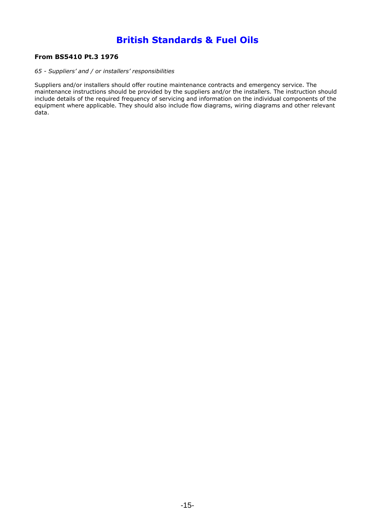### **From BS5410 Pt.3 1976**

### *65 - Suppliers' and / or installers' responsibilities*

Suppliers and/or installers should offer routine maintenance contracts and emergency service. The maintenance instructions should be provided by the suppliers and/or the installers. The instruction should include details of the required frequency of servicing and information on the individual components of the equipment where applicable. They should also include flow diagrams, wiring diagrams and other relevant data.